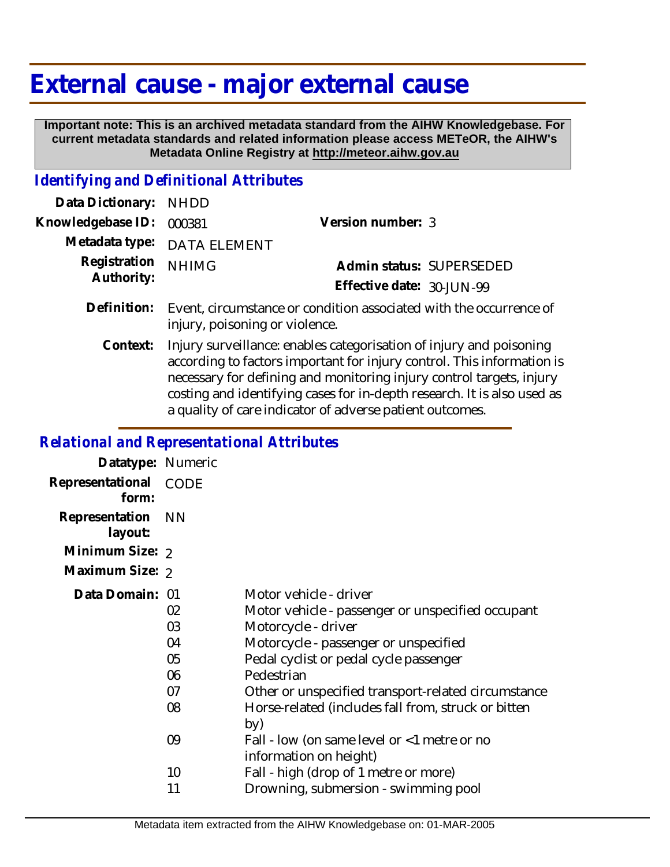## **External cause - major external cause**

 **Important note: This is an archived metadata standard from the AIHW Knowledgebase. For current metadata standards and related information please access METeOR, the AIHW's Metadata Online Registry at http://meteor.aihw.gov.au**

## *Identifying and Definitional Attributes*

| Data Dictionary: NHDD            |                                                                                |                              |                          |
|----------------------------------|--------------------------------------------------------------------------------|------------------------------|--------------------------|
| Knowledgebase ID: 000381         |                                                                                | Version number: 3            |                          |
|                                  | Metadata type: DATA ELEMENT                                                    |                              |                          |
| Registration NHIMG<br>Authority: |                                                                                |                              | Admin status: SUPERSEDED |
|                                  |                                                                                | Effective date: $30$ -JUN-99 |                          |
|                                  | Definition: Event, circumstance or condition associated with the occurrence of |                              |                          |

injury, poisoning or violence.

Injury surveillance: enables categorisation of injury and poisoning according to factors important for injury control. This information is necessary for defining and monitoring injury control targets, injury costing and identifying cases for in-depth research. It is also used as a quality of care indicator of adverse patient outcomes. **Context:**

## *Relational and Representational Attributes*

| Datatype: Numeric         |                                        |                                                                                                                                                                                                                                                                                                                          |
|---------------------------|----------------------------------------|--------------------------------------------------------------------------------------------------------------------------------------------------------------------------------------------------------------------------------------------------------------------------------------------------------------------------|
| Representational<br>form: | CODE                                   |                                                                                                                                                                                                                                                                                                                          |
| Representation<br>layout: | <b>NN</b>                              |                                                                                                                                                                                                                                                                                                                          |
| Minimum Size: 2           |                                        |                                                                                                                                                                                                                                                                                                                          |
| Maximum Size: 2           |                                        |                                                                                                                                                                                                                                                                                                                          |
| Data Domain: 01           | 02<br>03<br>04<br>05<br>06<br>07<br>08 | Motor vehicle - driver<br>Motor vehicle - passenger or unspecified occupant<br>Motorcycle - driver<br>Motorcycle - passenger or unspecified<br>Pedal cyclist or pedal cycle passenger<br>Pedestrian<br>Other or unspecified transport-related circumstance<br>Horse-related (includes fall from, struck or bitten<br>by) |
|                           | 09                                     | Fall - low (on same level or <1 metre or no                                                                                                                                                                                                                                                                              |
|                           |                                        | information on height)                                                                                                                                                                                                                                                                                                   |
|                           | 10<br>11                               | Fall - high (drop of 1 metre or more)<br>Drowning, submersion - swimming pool                                                                                                                                                                                                                                            |
|                           |                                        |                                                                                                                                                                                                                                                                                                                          |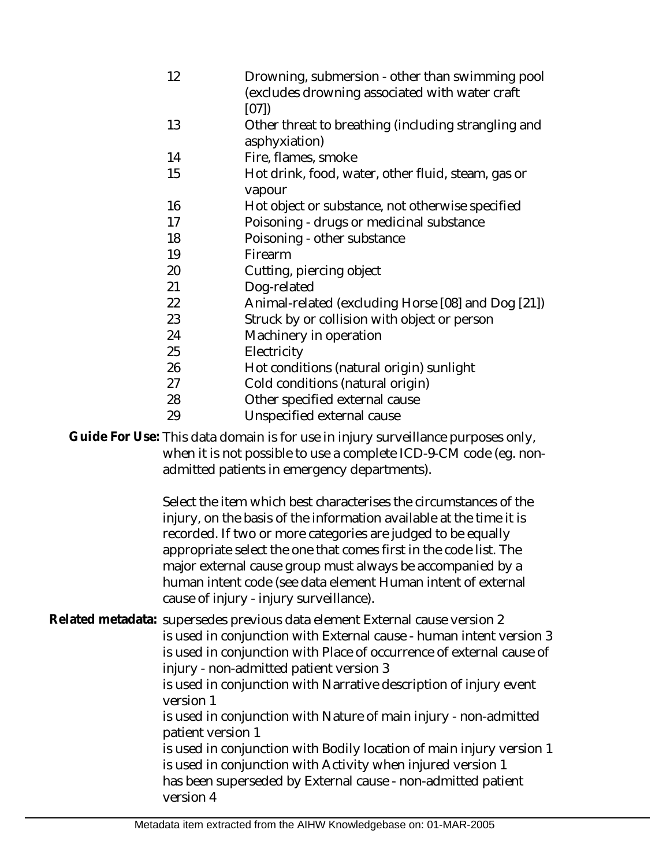12 13 14 15 16 17 18 19 20 21 22 23 24 25 26 27 28 29 Drowning, submersion - other than swimming pool (excludes drowning associated with water craft [07]) Other threat to breathing (including strangling and asphyxiation) Fire, flames, smoke Hot drink, food, water, other fluid, steam, gas or vapour Hot object or substance, not otherwise specified Poisoning - drugs or medicinal substance Poisoning - other substance Firearm Cutting, piercing object Dog-related Animal-related (excluding Horse [08] and Dog [21]) Struck by or collision with object or person Machinery in operation **Electricity** Hot conditions (natural origin) sunlight Cold conditions (natural origin) Other specified external cause Unspecified external cause

Guide For Use: This data domain is for use in injury surveillance purposes only, when it is not possible to use a complete ICD-9-CM code (eg. nonadmitted patients in emergency departments).

> Select the item which best characterises the circumstances of the injury, on the basis of the information available at the time it is recorded. If two or more categories are judged to be equally appropriate select the one that comes first in the code list. The major external cause group must always be accompanied by a human intent code (see data element Human intent of external cause of injury - injury surveillance).

Related metadata: supersedes previous data element External cause version 2 is used in conjunction with External cause - human intent version 3 is used in conjunction with Place of occurrence of external cause of injury - non-admitted patient version 3 is used in conjunction with Narrative description of injury event version 1 is used in conjunction with Nature of main injury - non-admitted patient version 1 is used in conjunction with Bodily location of main injury version 1 is used in conjunction with Activity when injured version 1 has been superseded by External cause - non-admitted patient

version 4